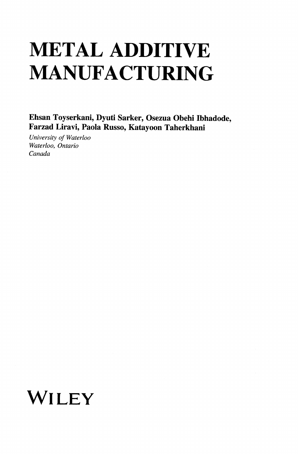## METAL ADDITIVE MANUFACTURING

Ehsan Toyserkani, Dyuti Sarker, Osezua Obehi Ibhadode, Farzad Liravi, Paola Russo, Katayoon Taherkhani

University of Waterloo Waterloo, Ontario Canada

## WILEY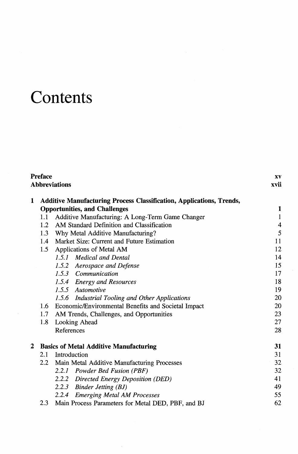## **Contents**

|   | Preface<br><b>Abbreviations</b>                                             |                                                     |                          |  |  |
|---|-----------------------------------------------------------------------------|-----------------------------------------------------|--------------------------|--|--|
| 1 | <b>Additive Manufacturing Process Classification, Applications, Trends,</b> |                                                     |                          |  |  |
|   | <b>Opportunities, and Challenges</b>                                        |                                                     |                          |  |  |
|   | 1.1                                                                         | Additive Manufacturing: A Long-Term Game Changer    | $\mathbf{1}$             |  |  |
|   | 1.2                                                                         | AM Standard Definition and Classification           | $\overline{\mathcal{L}}$ |  |  |
|   | 1.3                                                                         | Why Metal Additive Manufacturing?                   | 5                        |  |  |
|   |                                                                             | 1.4 Market Size: Current and Future Estimation      | 11                       |  |  |
|   | 1.5                                                                         | Applications of Metal AM                            | 12                       |  |  |
|   |                                                                             | 1.5.1 Medical and Dental                            | 14                       |  |  |
|   |                                                                             | 1.5.2 Aerospace and Defense                         | 15                       |  |  |
|   |                                                                             | 1.5.3 Communication                                 | 17                       |  |  |
|   |                                                                             | 1.5.4 Energy and Resources                          | 18                       |  |  |
|   |                                                                             | 1.5.5 Automotive                                    | 19                       |  |  |
|   |                                                                             | 1.5.6 Industrial Tooling and Other Applications     | 20                       |  |  |
|   | 1.6                                                                         | Economic/Environmental Benefits and Societal Impact | 20                       |  |  |
|   | 1.7 <sub>z</sub>                                                            | AM Trends, Challenges, and Opportunities            | 23                       |  |  |
|   | 1.8                                                                         | Looking Ahead                                       | 27                       |  |  |
|   |                                                                             | References                                          | 28                       |  |  |
| 2 |                                                                             | <b>Basics of Metal Additive Manufacturing</b>       | 31                       |  |  |
|   | Introduction<br>2.1                                                         |                                                     | 31                       |  |  |
|   |                                                                             | 2.2 Main Metal Additive Manufacturing Processes     | 32                       |  |  |
|   |                                                                             | 2.2.1 Powder Bed Fusion (PBF)                       | 32                       |  |  |
|   |                                                                             | 2.2.2 Directed Energy Deposition (DED)              | 41                       |  |  |
|   |                                                                             | 2.2.3 Binder Jetting (BJ)                           | 49                       |  |  |
|   |                                                                             | 2.2.4 Emerging Metal AM Processes                   | 55                       |  |  |
|   | 2.3                                                                         | Main Process Parameters for Metal DED, PBF, and BJ  | 62                       |  |  |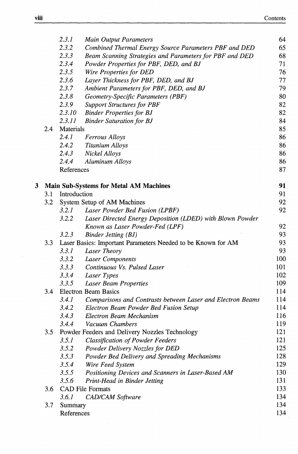|   |     | 2.3.1        | <b>Main Output Parameters</b>                                | 64  |
|---|-----|--------------|--------------------------------------------------------------|-----|
|   |     | 2.3.2        | Combined Thermal Energy Source Parameters PBF and DED        | 65  |
|   |     | 2.3.3        | Beam Scanning Strategies and Parameters for PBF and DED      | 68  |
|   |     | 2.3.4        | Powder Properties for PBF, DED, and BJ                       | 71  |
|   |     | 2.3.5        | Wire Properties for DED                                      | 76  |
|   |     | 2.3.6        | Layer Thickness for PBF, DED, and BJ                         | 77  |
|   |     | 2.3.7        | Ambient Parameters for PBF, DED, and BJ                      | 79  |
|   |     | 2.3.8        | Geometry-Specific Parameters (PBF)                           | 80  |
|   |     | 2.3.9        | <b>Support Structures for PBF</b>                            | 82  |
|   |     | 2.3.10       | <b>Binder Properties for BJ</b>                              | 82  |
|   |     | 2.3.11       | <b>Binder Saturation for BJ</b>                              | 84  |
|   | 2.4 | Materials    |                                                              | 85  |
|   |     | 2.4.1        | <b>Ferrous Alloys</b>                                        | 86  |
|   |     | 2.4.2        | <b>Titanium Alloys</b>                                       | 86  |
|   |     | 2.4.3        | Nickel Alloys                                                | 86  |
|   |     | 2.4.4        | Aluminum Alloys                                              | 86  |
|   |     | References   |                                                              | 87  |
| 3 |     |              | <b>Main Sub-Systems for Metal AM Machines</b>                | 91  |
|   | 3.1 | Introduction |                                                              | 91  |
|   | 3.2 |              | System Setup of AM Machines                                  | 92  |
|   |     | 3.2.1        | Laser Powder Bed Fusion (LPBF)                               | 92  |
|   |     | 3.2.2        | Laser Directed Energy Deposition (LDED) with Blown Powder    |     |
|   |     |              | Known as Laser Powder-Fed (LPF)                              | 92  |
|   |     | 3.2.3        | Binder Jetting (BJ)                                          | 93  |
|   | 3.3 |              | Laser Basics: Important Parameters Needed to be Known for AM | 93  |
|   |     | 3.3.1        | Laser Theory                                                 | 93  |
|   |     | 3.3.2        | Laser Components                                             | 100 |
|   |     | 3.3.3        | Continuous Vs. Pulsed Laser                                  | 101 |
|   |     | 3.3.4        | Laser Types                                                  | 102 |
|   |     | 3.3.5        | <b>Laser Beam Properties</b>                                 | 109 |
|   | 3.4 |              | <b>Electron Beam Basics</b>                                  | 114 |
|   |     | 3.4.1        | Comparisons and Contrasts between Laser and Electron Beams   | 114 |
|   |     | 3.4.2        | Electron Beam Powder Bed Fusion Setup                        | 114 |
|   |     | 3.4.3        | Electron Beam Mechanism                                      | 116 |
|   |     | 3.4.4        | Vacuum Chambers                                              | 119 |
|   | 3.5 |              | Powder Feeders and Delivery Nozzles Technology               | 121 |
|   |     | 3.5.1        | <b>Classification of Powder Feeders</b>                      | 121 |
|   |     | 3.5.2        | Powder Delivery Nozzles for DED                              | 125 |
|   |     | 3.5.3        | Powder Bed Delivery and Spreading Mechanisms                 | 128 |
|   |     | 3.5.4        | Wire Feed System                                             | 129 |
|   |     | 3.5.5        | Positioning Devices and Scanners in Laser-Based AM           | 130 |
|   |     | 3.5.6        | Print-Head in Binder Jetting                                 | 131 |
|   | 3.6 |              | <b>CAD File Formats</b>                                      | 133 |
|   |     | 3.6.1        | CAD/CAM Software                                             | 134 |
|   | 3.7 | Summary      |                                                              | 134 |
|   |     | References   |                                                              | 134 |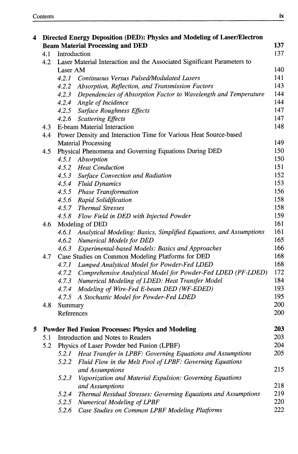| 4 | Directed Energy Deposition (DED): Physics and Modeling of Laser/Electron |                                                                                            |            |  |  |
|---|--------------------------------------------------------------------------|--------------------------------------------------------------------------------------------|------------|--|--|
|   |                                                                          | <b>Beam Material Processing and DED</b>                                                    | 137        |  |  |
|   | 4.1                                                                      | Introduction                                                                               |            |  |  |
|   | 4.2                                                                      | Laser Material Interaction and the Associated Significant Parameters to                    |            |  |  |
|   |                                                                          | Laser AM                                                                                   |            |  |  |
|   |                                                                          | 4.2.1 Continuous Versus Pulsed/Modulated Lasers                                            | 141        |  |  |
|   |                                                                          | 4.2.2 Absorption, Reflection, and Transmission Factors                                     | 143        |  |  |
|   |                                                                          | 4.2.3 Dependencies of Absorption Factor to Wavelength and Temperature                      | 144        |  |  |
|   |                                                                          | 4.2.4 Angle of Incidence                                                                   | 144        |  |  |
|   |                                                                          | 4.2.5 Surface Roughness Effects                                                            | 147        |  |  |
|   |                                                                          | 4.2.6 Scattering Effects                                                                   | 147        |  |  |
|   | 4.3                                                                      | E-beam Material Interaction                                                                | 148        |  |  |
|   | Power Density and Interaction Time for Various Heat Source-based<br>4.4  |                                                                                            |            |  |  |
|   |                                                                          | <b>Material Processing</b>                                                                 | 149        |  |  |
|   | 4.5                                                                      | Physical Phenomena and Governing Equations During DED                                      | 150        |  |  |
|   |                                                                          | 4.5.1<br>Absorption                                                                        | 150        |  |  |
|   |                                                                          | 4.5.2 Heat Conduction                                                                      | 151        |  |  |
|   |                                                                          | 4.5.3 Surface Convection and Radiation                                                     | 152        |  |  |
|   |                                                                          | 4.5.4 Fluid Dynamics                                                                       | 153        |  |  |
|   |                                                                          | 4.5.5 Phase Transformation                                                                 | 156        |  |  |
|   |                                                                          | 4.5.6 Rapid Solidification                                                                 | 158        |  |  |
|   |                                                                          | 4.5.7 Thermal Stresses                                                                     | 158        |  |  |
|   |                                                                          | 4.5.8 Flow Field in DED with Injected Powder                                               | 159<br>161 |  |  |
|   | 4.6                                                                      | Modeling of DED                                                                            |            |  |  |
|   |                                                                          | Analytical Modeling: Basics, Simplified Equations, and Assumptions<br>4.6.1                | 161        |  |  |
|   |                                                                          | 4.6.2 Numerical Models for DED                                                             | 165        |  |  |
|   |                                                                          | Experimental-based Models: Basics and Approaches<br>4.6.3                                  | 166        |  |  |
|   | 4.7                                                                      | Case Studies on Common Modeling Platforms for DED                                          | 168        |  |  |
|   |                                                                          | Lumped Analytical Model for Powder-Fed LDED<br>4.7.1                                       | 168        |  |  |
|   |                                                                          | 4.7.2 Comprehensive Analytical Model for Powder-Fed LDED (PF-LDED)                         | 172        |  |  |
|   |                                                                          | 4.7.3 Numerical Modeling of LDED: Heat Transfer Model                                      | 184        |  |  |
|   |                                                                          | 4.7.4 Modeling of Wire-Fed E-beam DED (WF-EDED)                                            | 193        |  |  |
|   |                                                                          | A Stochastic Model for Powder-Fed LDED<br>4.7.5                                            | 195        |  |  |
|   | 4.8                                                                      | Summary                                                                                    | 200        |  |  |
|   |                                                                          | References                                                                                 | 200        |  |  |
|   |                                                                          |                                                                                            |            |  |  |
| 5 |                                                                          | <b>Powder Bed Fusion Processes: Physics and Modeling</b>                                   | 203        |  |  |
|   | 5.1                                                                      | Introduction and Notes to Readers                                                          | 203        |  |  |
|   | 5.2                                                                      | Physics of Laser Powder bed Fusion (LPBF)                                                  | 204<br>205 |  |  |
|   |                                                                          | Heat Transfer in LPBF: Governing Equations and Assumptions<br>5.2.1                        |            |  |  |
|   |                                                                          | 5.2.2<br>Fluid Flow in the Melt Pool of LPBF: Governing Equations                          | 215        |  |  |
|   |                                                                          | and Assumptions                                                                            |            |  |  |
|   |                                                                          | 5.2.3<br>Vaporization and Material Expulsion: Governing Equations                          | 218        |  |  |
|   |                                                                          | and Assumptions<br>Thermal Residual Stresses: Governing Equations and Assumptions<br>5.2.4 | 219        |  |  |
|   |                                                                          | 5.2.5<br>Numerical Modeling of LPBF                                                        | 220        |  |  |
|   |                                                                          | 5.2.6<br>Case Studies on Common LPBF Modeling Platforms                                    | 222        |  |  |
|   |                                                                          |                                                                                            |            |  |  |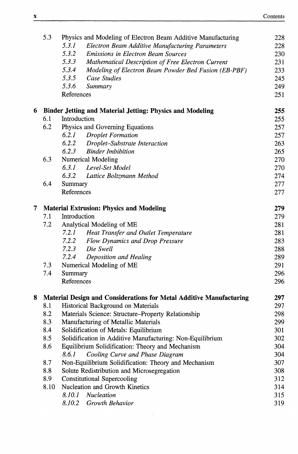|   | 5.3  | Physics and Modeling of Electron Beam Additive Manufacturing        | 228 |  |  |  |  |
|---|------|---------------------------------------------------------------------|-----|--|--|--|--|
|   |      | 5.3.1<br>Electron Beam Additive Manufacturing Parameters            | 228 |  |  |  |  |
|   |      | 5.3.2<br><b>Emissions in Electron Beam Sources</b>                  | 230 |  |  |  |  |
|   |      | 5.3.3<br>Mathematical Description of Free Electron Current          | 231 |  |  |  |  |
|   |      | 5.3.4<br>Modeling of Electron Beam Powder Bed Fusion (EB-PBF)       | 233 |  |  |  |  |
|   |      | 5.3.5<br>Case Studies                                               | 245 |  |  |  |  |
|   |      | 5.3.6<br>Summary                                                    | 249 |  |  |  |  |
|   |      | References                                                          | 251 |  |  |  |  |
| 6 |      | <b>Binder Jetting and Material Jetting: Physics and Modeling</b>    | 255 |  |  |  |  |
|   | 6.1  | Introduction                                                        | 255 |  |  |  |  |
|   | 6.2  | Physics and Governing Equations                                     | 257 |  |  |  |  |
|   |      | <b>Droplet Formation</b><br>6.2.1                                   | 257 |  |  |  |  |
|   |      | 6.2.2<br>Droplet-Substrate Interaction                              | 263 |  |  |  |  |
|   |      | 6.2.3<br><b>Binder Imbibition</b>                                   | 265 |  |  |  |  |
|   | 6.3  | Numerical Modeling                                                  | 270 |  |  |  |  |
|   |      | Level-Set Model<br>6.3.1                                            | 270 |  |  |  |  |
|   |      | 6.3.2<br>Lattice Boltzmann Method                                   | 274 |  |  |  |  |
|   | 6.4  | Summary                                                             | 277 |  |  |  |  |
|   |      | References                                                          | 277 |  |  |  |  |
| 7 |      | <b>Material Extrusion: Physics and Modeling</b>                     | 279 |  |  |  |  |
|   |      | 7.1<br>Introduction                                                 |     |  |  |  |  |
|   | 7.2  | Analytical Modeling of ME                                           | 281 |  |  |  |  |
|   |      | 7.2.1<br>Heat Transfer and Outlet Temperature                       | 281 |  |  |  |  |
|   |      | 7.2.2<br>Flow Dynamics and Drop Pressure                            | 283 |  |  |  |  |
|   |      | 7.2.3<br>Die Swell                                                  | 288 |  |  |  |  |
|   |      | 7.2.4<br>Deposition and Healing                                     | 289 |  |  |  |  |
|   | 7.3  | Numerical Modeling of ME                                            | 291 |  |  |  |  |
|   | 7.4  | Summary                                                             | 296 |  |  |  |  |
|   |      | References                                                          | 296 |  |  |  |  |
| 8 |      | Material Design and Considerations for Metal Additive Manufacturing | 297 |  |  |  |  |
|   | 8.1  | Historical Background on Materials                                  | 297 |  |  |  |  |
|   | 8.2  | Materials Science: Structure-Property Relationship                  | 298 |  |  |  |  |
|   | 8.3  | Manufacturing of Metallic Materials                                 | 299 |  |  |  |  |
|   | 8.4  | Solidification of Metals: Equilibrium                               | 301 |  |  |  |  |
|   | 8.5  | Solidification in Additive Manufacturing: Non-Equilibrium           | 302 |  |  |  |  |
|   | 8.6  | Equilibrium Solidification: Theory and Mechanism                    | 304 |  |  |  |  |
|   |      | Cooling Curve and Phase Diagram<br>8.6.1                            | 304 |  |  |  |  |
|   | 8.7  | Non-Equilibrium Solidification: Theory and Mechanism                | 307 |  |  |  |  |
|   | 8.8  | Solute Redistribution and Microsegregation                          | 308 |  |  |  |  |
|   | 8.9  | <b>Constitutional Supercooling</b>                                  | 312 |  |  |  |  |
|   | 8.10 | Nucleation and Growth Kinetics                                      | 314 |  |  |  |  |
|   |      | 8.10.1<br><b>Nucleation</b>                                         | 315 |  |  |  |  |
|   |      | 8.10.2<br>Growth Behavior                                           | 319 |  |  |  |  |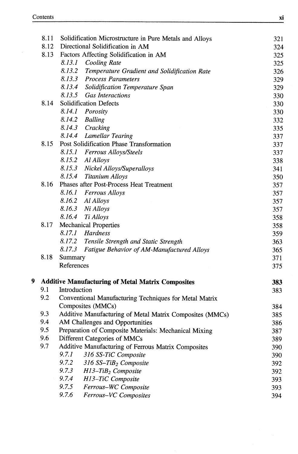|   | 8.11 | Solidification Microstructure in Pure Metals and Alloys  | 321 |  |  |  |
|---|------|----------------------------------------------------------|-----|--|--|--|
|   | 8.12 | Directional Solidification in AM                         | 324 |  |  |  |
|   | 8.13 | Factors Affecting Solidification in AM                   | 325 |  |  |  |
|   |      | 8.13.1<br>Cooling Rate                                   | 325 |  |  |  |
|   |      | 8.13.2<br>Temperature Gradient and Solidification Rate   | 326 |  |  |  |
|   |      | 8.13.3 Process Parameters                                | 329 |  |  |  |
|   |      | 8.13.4<br>Solidification Temperature Span                | 329 |  |  |  |
|   |      | 8.13.5<br><b>Gas Interactions</b>                        | 330 |  |  |  |
|   | 8.14 | Solidification Defects                                   | 330 |  |  |  |
|   |      | 8.14.1 Porosity                                          | 330 |  |  |  |
|   |      | 8.14.2 Balling                                           | 332 |  |  |  |
|   |      | 8.14.3 Cracking                                          | 335 |  |  |  |
|   |      | 8.14.4 Lamellar Tearing                                  | 337 |  |  |  |
|   | 8.15 | Post Solidification Phase Transformation                 | 337 |  |  |  |
|   |      | 8.15.1 Ferrous Alloys/Steels                             | 337 |  |  |  |
|   |      | 8.15.2 Al Alloys                                         | 338 |  |  |  |
|   |      | 8.15.3 Nickel Alloys/Superalloys                         | 341 |  |  |  |
|   |      | 8.15.4<br><b>Titanium Alloys</b>                         | 350 |  |  |  |
|   | 8.16 | Phases after Post-Process Heat Treatment                 | 357 |  |  |  |
|   |      | 8.16.1 Ferrous Alloys                                    | 357 |  |  |  |
|   |      | 8.16.2 Al Alloys                                         | 357 |  |  |  |
|   |      | 8.16.3 Ni Alloys                                         | 357 |  |  |  |
|   |      | 8.16.4<br>Ti Alloys                                      | 358 |  |  |  |
|   | 8.17 | <b>Mechanical Properties</b>                             | 358 |  |  |  |
|   |      | 8.17.1 Hardness                                          | 359 |  |  |  |
|   |      | 8.17.2 Tensile Strength and Static Strength              | 363 |  |  |  |
|   |      | 8.17.3<br>Fatigue Behavior of AM-Manufactured Alloys     | 365 |  |  |  |
|   | 8.18 | Summary                                                  | 371 |  |  |  |
|   |      | References                                               | 375 |  |  |  |
| 9 |      | <b>Additive Manufacturing of Metal Matrix Composites</b> | 383 |  |  |  |
|   | 9.1  | Introduction                                             |     |  |  |  |
|   | 9.2  | Conventional Manufacturing Techniques for Metal Matrix   |     |  |  |  |
|   |      | Composites (MMCs)                                        | 384 |  |  |  |
|   | 9.3  | Additive Manufacturing of Metal Matrix Composites (MMCs) | 385 |  |  |  |
|   | 9.4  | AM Challenges and Opportunities                          | 386 |  |  |  |
|   | 9.5  | Preparation of Composite Materials: Mechanical Mixing    | 387 |  |  |  |
|   | 9.6  | Different Categories of MMCs                             | 389 |  |  |  |
|   | 9.7  | Additive Manufacturing of Ferrous Matrix Composites      | 390 |  |  |  |
|   |      | 9.7.1<br>316 SS-TiC Composite                            | 390 |  |  |  |
|   |      | 9.7.2<br>316 SS-TiB <sub>2</sub> Composite               | 392 |  |  |  |
|   |      | 9.7.3<br>$H13$ -TiB <sub>2</sub> Composite               | 392 |  |  |  |
|   |      | 9.7.4<br>H13-TiC Composite                               | 393 |  |  |  |
|   |      | 9.7.5<br>Ferrous-WC Composite                            | 393 |  |  |  |
|   |      | 9.7.6<br>Ferrous-VC Composites                           | 394 |  |  |  |
|   |      |                                                          |     |  |  |  |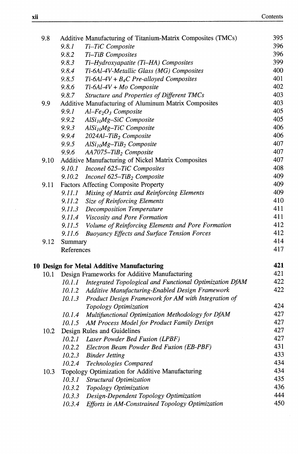| 9.8  | Additive Manufacturing of Titanium-Matrix Composites (TMCs)    | 395 |
|------|----------------------------------------------------------------|-----|
|      | Ti-TiC Composite<br>9.8.1                                      | 396 |
|      | 9.8.2<br>Ti-TiB Composites                                     | 396 |
|      | Ti-Hydroxyapatite (Ti-HA) Composites<br>9.8.3                  | 399 |
|      | Ti-6Al-4V-Metallic Glass (MG) Composites<br>9.8.4              | 400 |
|      | 9.8.5<br>$Ti$ -6Al-4V + $B_4C$ Pre-alloyed Composites          | 401 |
|      | 9.8.6<br>Ti-6Al-4V + Mo Composite                              | 402 |
|      | 9.8.7<br>Structure and Properties of Different TMCs            | 403 |
| 9.9  | Additive Manufacturing of Aluminum Matrix Composites           | 403 |
|      | 9.9.1<br>$Al-Fe2O3$ Composite                                  | 405 |
|      | 9.9.2<br>AlSi <sub>10</sub> Mg-SiC Composite                   | 405 |
|      | 9.9.3<br>$AISi10Mg-TiC Composite$                              | 406 |
|      | 9.9.4<br>2024Al-TiB <sub>2</sub> Composite                     | 406 |
|      | 9.9.5<br>$AlSi10Mg-TiB2$ Composite                             | 407 |
|      | 9.9.6<br>AA7075-TiB <sub>2</sub> Composite                     | 407 |
| 9.10 | Additive Manufacturing of Nickel Matrix Composites             | 407 |
|      | 9.10.1<br>Inconel 625-TiC Composites                           | 408 |
|      | 9.10.2<br>Inconel 625-TiB <sub>2</sub> Composite               | 409 |
| 9.11 | Factors Affecting Composite Property                           | 409 |
|      | 9.11.1<br>Mixing of Matrix and Reinforcing Elements            | 409 |
|      | 9.11.2<br><b>Size of Reinforcing Elements</b>                  | 410 |
|      | 9.11.3 Decomposition Temperature                               | 411 |
|      | 9.11.4 Viscosity and Pore Formation                            | 411 |
|      | Volume of Reinforcing Elements and Pore Formation<br>9.11.5    | 412 |
|      | 9.11.6<br><b>Buoyancy Effects and Surface Tension Forces</b>   | 412 |
| 9.12 | Summary                                                        | 414 |
|      | References                                                     | 417 |
|      | 10 Design for Metal Additive Manufacturing                     | 421 |
| 10.1 | Design Frameworks for Additive Manufacturing                   | 421 |
|      | 10.1.1 Integrated Topological and Functional Optimization DfAM | 422 |
|      | Additive Manufacturing-Enabled Design Framework<br>10.1.2      | 422 |
|      | Product Design Framework for AM with Integration of<br>10.1.3  |     |
|      | Topology Optimization                                          | 424 |
|      | Multifunctional Optimization Methodology for DfAM<br>10.1.4    | 427 |
|      | AM Process Model for Product Family Design<br>10.1.5           | 427 |
| 10.2 | Design Rules and Guidelines                                    | 427 |
|      | 10.2.1 Laser Powder Bed Fusion (LPBF)                          | 427 |
|      | Electron Beam Powder Bed Fusion (EB-PBF)<br>10.2.2             | 431 |
|      | 10.2.3<br><b>Binder Jetting</b>                                | 433 |
|      | 10.2.4<br>Technologies Compared                                | 434 |
| 10.3 | Topology Optimization for Additive Manufacturing               | 434 |
|      | 10.3.1<br>Structural Optimization                              | 435 |
|      | 10.3.2<br>Topology Optimization                                | 436 |
|      | Design-Dependent Topology Optimization<br>10.3.3               | 444 |
|      | Efforts in AM-Constrained Topology Optimization<br>10.3.4      | 450 |
|      |                                                                |     |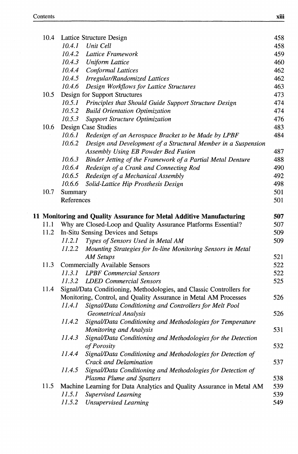| 10.4 | Lattice Structure Design                                                                                       | 458 |
|------|----------------------------------------------------------------------------------------------------------------|-----|
|      | 10.4.1<br>Unit Cell                                                                                            | 458 |
|      | 10.4.2<br>Lattice Framework                                                                                    | 459 |
|      | 10.4.3 Uniform Lattice                                                                                         | 460 |
|      | 10.4.4<br><b>Conformal Lattices</b>                                                                            | 462 |
|      | 10.4.5<br><b>Irregular/Randomized Lattices</b>                                                                 | 462 |
|      | 10.4.6<br>Design Workflows for Lattice Structures                                                              | 463 |
| 10.5 | Design for Support Structures                                                                                  | 473 |
|      | Principles that Should Guide Support Structure Design<br>10.5.1                                                | 474 |
|      | 10.5.2<br><b>Build Orientation Optimization</b>                                                                | 474 |
|      | 10.5.3<br><b>Support Structure Optimization</b>                                                                | 476 |
| 10.6 | Design Case Studies                                                                                            | 483 |
|      | 10.6.1 Redesign of an Aerospace Bracket to be Made by LPBF                                                     | 484 |
|      | 10.6.2<br>Design and Development of a Structural Member in a Suspension<br>Assembly Using EB Powder Bed Fusion | 487 |
|      | 10.6.3<br>Binder Jetting of the Framework of a Partial Metal Denture                                           | 488 |
|      | 10.6.4<br>Redesign of a Crank and Connecting Rod                                                               | 490 |
|      | 10.6.5<br>Redesign of a Mechanical Assembly                                                                    | 492 |
|      | 10.6.6<br>Solid-Lattice Hip Prosthesis Design                                                                  | 498 |
| 10.7 | Summary                                                                                                        | 501 |
|      | References                                                                                                     | 501 |
|      |                                                                                                                |     |
|      | 11 Monitoring and Quality Assurance for Metal Additive Manufacturing                                           | 507 |
| 11.1 | Why are Closed-Loop and Quality Assurance Platforms Essential?                                                 | 507 |
| 11.2 | In-Situ Sensing Devices and Setups                                                                             | 509 |
|      | 11.2.1 Types of Sensors Used in Metal AM                                                                       | 509 |
|      | 11.2.2<br>Mounting Strategies for In-line Monitoring Sensors in Metal                                          |     |
|      | <b>AM Setups</b>                                                                                               | 521 |
| 11.3 | <b>Commercially Available Sensors</b>                                                                          | 522 |
|      | 11.3.1 LPBF Commercial Sensors                                                                                 | 522 |
|      | 11.3.2 LDED Commercial Sensors                                                                                 | 525 |
| 11.4 | Signal/Data Conditioning, Methodologies, and Classic Controllers for                                           |     |
|      | Monitoring, Control, and Quality Assurance in Metal AM Processes                                               | 526 |
|      | Signal/Data Conditioning and Controllers for Melt Pool<br>11.4.1                                               |     |
|      | <b>Geometrical Analysis</b>                                                                                    | 526 |
|      | 11.4.2<br>Signal/Data Conditioning and Methodologies for Temperature                                           |     |
|      | Monitoring and Analysis                                                                                        | 531 |
|      | Signal/Data Conditioning and Methodologies for the Detection<br>11.4.3<br>of Porosity                          | 532 |
|      | Signal/Data Conditioning and Methodologies for Detection of<br>11.4.4<br>Crack and Delamination                | 537 |
|      | 11.4.5<br>Signal/Data Conditioning and Methodologies for Detection of                                          |     |
|      | Plasma Plume and Spatters                                                                                      | 538 |
| 11.5 | Machine Learning for Data Analytics and Quality Assurance in Metal AM                                          | 539 |
|      | 11.5.1<br>Supervised Learning                                                                                  | 539 |
|      | 11.5.2<br><b>Unsupervised Learning</b>                                                                         | 549 |
|      |                                                                                                                |     |